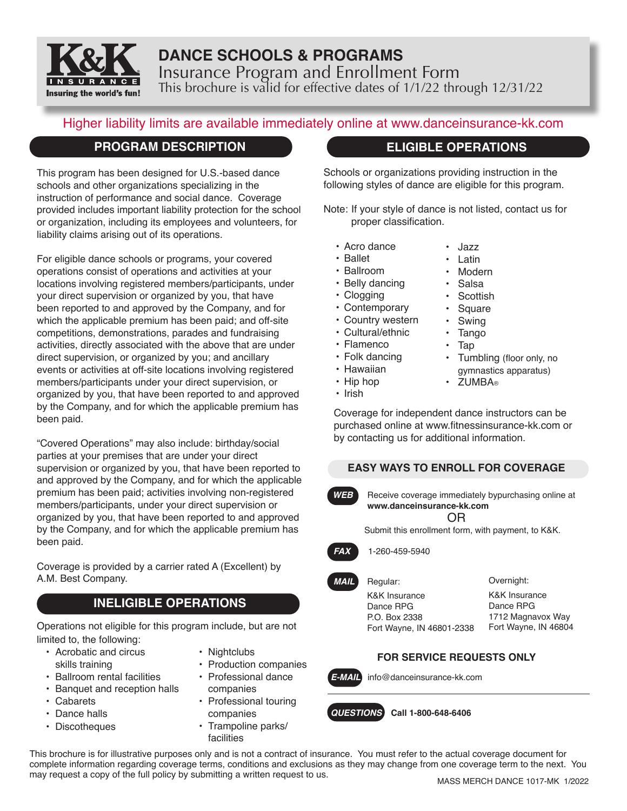

# **DANCE SCHOOLS & PROGRAMS** Insurance Program and Enrollment Form This brochure is valid for effective dates of 1/1/22 through 12/31/22

# Higher liability limits are available immediately online at www.danceinsurance-kk.com

## **PROGRAM DESCRIPTION**

This program has been designed for U.S.-based dance schools and other organizations specializing in the instruction of performance and social dance. Coverage provided includes important liability protection for the school or organization, including its employees and volunteers, for liability claims arising out of its operations.

For eligible dance schools or programs, your covered operations consist of operations and activities at your locations involving registered members/participants, under your direct supervision or organized by you, that have been reported to and approved by the Company, and for which the applicable premium has been paid; and off-site competitions, demonstrations, parades and fundraising activities, directly associated with the above that are under direct supervision, or organized by you; and ancillary events or activities at off-site locations involving registered members/participants under your direct supervision, or organized by you, that have been reported to and approved by the Company, and for which the applicable premium has been paid.

"Covered Operations" may also include: birthday/social parties at your premises that are under your direct supervision or organized by you, that have been reported to and approved by the Company, and for which the applicable premium has been paid; activities involving non-registered members/participants, under your direct supervision or organized by you, that have been reported to and approved by the Company, and for which the applicable premium has been paid.

Coverage is provided by a carrier rated A (Excellent) by A.M. Best Company.

# **INELIGIBLE OPERATIONS**

Operations not eligible for this program include, but are not limited to, the following:

- Acrobatic and circus skills training
	-
- Ballroom rental facilities
- Banquet and reception halls
- Cabarets
- Dance halls
- Discotheques
- Nightclubs
- Production companies
- Professional dance companies
	- Professional touring companies
	- Trampoline parks/ facilities

# **ELIGIBLE OPERATIONS**

Schools or organizations providing instruction in the following styles of dance are eligible for this program.

Note: If your style of dance is not listed, contact us for proper classification.

- Acro dance
- Ballet
- Ballroom
- Belly dancing
- Clogging
- Contemporary
- Country western
- Cultural/ethnic
- Flamenco
- Folk dancing
- Hawaiian
- Hip hop
- Irish
- Modern
- Salsa
- **Scottish**
- **Square**
- **Swing**
- Tango
- Tap
- Tumbling (floor only, no gymnastics apparatus)
- **7UMBA**®
- 

Coverage for independent dance instructors can be purchased online at www.fitnessinsurance-kk.com or by contacting us for additional information.

## **EASY WAYS TO ENROLL FOR COVERAGE**

*WEB* Receive coverage immediately bypurchasing online at **www.danceinsurance-kk.com** OR

Submit this enrollment form, with payment, to K&K.



## *FAX* 1-260-459-5940

*MAIL* Regular: K&K Insurance Dance RPG P.O. Box 2338 Fort Wayne, IN 46801-2338 Overnight:

K&K Insurance Dance RPG 1712 Magnavox Way Fort Wayne, IN 46804

# **FOR SERVICE REQUESTS ONLY**



*E-MAIL* info@danceinsurance-kk.com



This brochure is for illustrative purposes only and is not a contract of insurance. You must refer to the actual coverage document for complete information regarding coverage terms, conditions and exclusions as they may change from one coverage term to the next. You may request a copy of the full policy by submitting a written request to us.

• Jazz **Latin**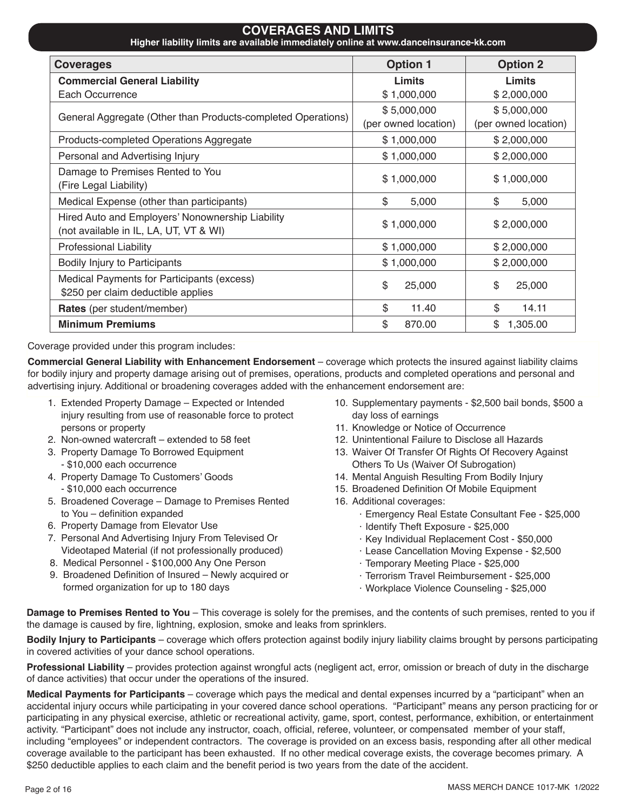| UUVLIIAULU AND LIIIII IJ<br>Higher liability limits are available immediately online at www.danceinsurance-kk.com |                      |                      |  |  |  |
|-------------------------------------------------------------------------------------------------------------------|----------------------|----------------------|--|--|--|
| <b>Coverages</b>                                                                                                  | <b>Option 1</b>      | <b>Option 2</b>      |  |  |  |
| <b>Commercial General Liability</b>                                                                               | Limits               | Limits               |  |  |  |
| Each Occurrence                                                                                                   | \$1,000,000          | \$2,000,000          |  |  |  |
| General Aggregate (Other than Products-completed Operations)                                                      | \$5,000,000          | \$5,000,000          |  |  |  |
|                                                                                                                   | (per owned location) | (per owned location) |  |  |  |
| Products-completed Operations Aggregate                                                                           | \$1,000,000          | \$2,000,000          |  |  |  |
| Personal and Advertising Injury                                                                                   | \$1,000,000          | \$2,000,000          |  |  |  |
| Damage to Premises Rented to You                                                                                  | \$1,000,000          | \$1,000,000          |  |  |  |
| (Fire Legal Liability)                                                                                            |                      |                      |  |  |  |
| Medical Expense (other than participants)                                                                         | \$<br>5,000          | \$<br>5,000          |  |  |  |
| Hired Auto and Employers' Nonownership Liability                                                                  | \$1,000,000          | \$2,000,000          |  |  |  |
| (not available in IL, LA, UT, VT & WI)                                                                            |                      |                      |  |  |  |
| <b>Professional Liability</b>                                                                                     | \$1,000,000          | \$2,000,000          |  |  |  |
| Bodily Injury to Participants                                                                                     | \$1,000,000          | \$2,000,000          |  |  |  |
| Medical Payments for Participants (excess)                                                                        | \$<br>25,000         | \$<br>25,000         |  |  |  |
| \$250 per claim deductible applies                                                                                |                      |                      |  |  |  |
| Rates (per student/member)                                                                                        | \$<br>11.40          | \$<br>14.11          |  |  |  |
| <b>Minimum Premiums</b>                                                                                           | \$<br>870.00         | \$<br>1,305.00       |  |  |  |

**COVERAGES AND LIMITS**

Coverage provided under this program includes:

**Commercial General Liability with Enhancement Endorsement** – coverage which protects the insured against liability claims for bodily injury and property damage arising out of premises, operations, products and completed operations and personal and advertising injury. Additional or broadening coverages added with the enhancement endorsement are:

- 1. Extended Property Damage Expected or Intended injury resulting from use of reasonable force to protect persons or property
- 2. Non-owned watercraft extended to 58 feet
- 3. Property Damage To Borrowed Equipment - \$10,000 each occurrence
- 4. Property Damage To Customers' Goods - \$10,000 each occurrence
- 5. Broadened Coverage Damage to Premises Rented to You – definition expanded
- 6. Property Damage from Elevator Use
- 7. Personal And Advertising Injury From Televised Or Videotaped Material (if not professionally produced)
- 8. Medical Personnel \$100,000 Any One Person
- 9. Broadened Definition of Insured Newly acquired or formed organization for up to 180 days
- 10. Supplementary payments \$2,500 bail bonds, \$500 a day loss of earnings
- 11. Knowledge or Notice of Occurrence
- 12. Unintentional Failure to Disclose all Hazards
- 13. Waiver Of Transfer Of Rights Of Recovery Against Others To Us (Waiver Of Subrogation)
- 14. Mental Anguish Resulting From Bodily Injury
- 15. Broadened Definition Of Mobile Equipment
- 16. Additional coverages:
	- · Emergency Real Estate Consultant Fee \$25,000
	- · Identify Theft Exposure \$25,000
	- · Key Individual Replacement Cost \$50,000
	- · Lease Cancellation Moving Expense \$2,500
	- · Temporary Meeting Place \$25,000
	- · Terrorism Travel Reimbursement \$25,000
	- · Workplace Violence Counseling \$25,000

**Damage to Premises Rented to You** – This coverage is solely for the premises, and the contents of such premises, rented to you if the damage is caused by fire, lightning, explosion, smoke and leaks from sprinklers.

**Bodily Injury to Participants** – coverage which offers protection against bodily injury liability claims brought by persons participating in covered activities of your dance school operations.

**Professional Liability** – provides protection against wrongful acts (negligent act, error, omission or breach of duty in the discharge of dance activities) that occur under the operations of the insured.

**Medical Payments for Participants** – coverage which pays the medical and dental expenses incurred by a "participant" when an accidental injury occurs while participating in your covered dance school operations. "Participant" means any person practicing for or participating in any physical exercise, athletic or recreational activity, game, sport, contest, performance, exhibition, or entertainment activity. "Participant" does not include any instructor, coach, official, referee, volunteer, or compensated member of your staff, including "employees" or independent contractors. The coverage is provided on an excess basis, responding after all other medical coverage available to the participant has been exhausted. If no other medical coverage exists, the coverage becomes primary. A \$250 deductible applies to each claim and the benefit period is two years from the date of the accident.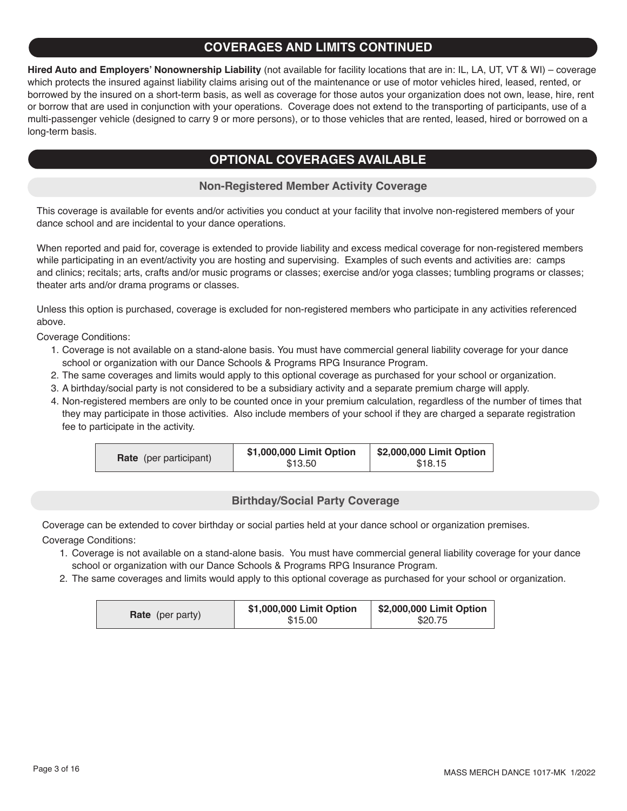## **COVERAGES AND LIMITS CONTINUED**

**Hired Auto and Employers' Nonownership Liability** (not available for facility locations that are in: IL, LA, UT, VT & WI) – coverage which protects the insured against liability claims arising out of the maintenance or use of motor vehicles hired, leased, rented, or borrowed by the insured on a short-term basis, as well as coverage for those autos your organization does not own, lease, hire, rent or borrow that are used in conjunction with your operations. Coverage does not extend to the transporting of participants, use of a multi-passenger vehicle (designed to carry 9 or more persons), or to those vehicles that are rented, leased, hired or borrowed on a long-term basis.

## **OPTIONAL COVERAGES AVAILABLE**

## **Non-Registered Member Activity Coverage**

This coverage is available for events and/or activities you conduct at your facility that involve non-registered members of your dance school and are incidental to your dance operations.

When reported and paid for, coverage is extended to provide liability and excess medical coverage for non-registered members while participating in an event/activity you are hosting and supervising. Examples of such events and activities are: camps and clinics; recitals; arts, crafts and/or music programs or classes; exercise and/or yoga classes; tumbling programs or classes; theater arts and/or drama programs or classes.

Unless this option is purchased, coverage is excluded for non-registered members who participate in any activities referenced above.

Coverage Conditions:

- 1. Coverage is not available on a stand-alone basis. You must have commercial general liability coverage for your dance school or organization with our Dance Schools & Programs RPG Insurance Program.
- 2. The same coverages and limits would apply to this optional coverage as purchased for your school or organization.
- 3. A birthday/social party is not considered to be a subsidiary activity and a separate premium charge will apply.
- 4. Non-registered members are only to be counted once in your premium calculation, regardless of the number of times that they may participate in those activities. Also include members of your school if they are charged a separate registration fee to participate in the activity.

| <b>Rate</b> (per participant) | \$1,000,000 Limit Option<br>\$13.50 | \$2,000,000 Limit Option<br>\$18.15 |
|-------------------------------|-------------------------------------|-------------------------------------|
|-------------------------------|-------------------------------------|-------------------------------------|

### **Birthday/Social Party Coverage**

Coverage can be extended to cover birthday or social parties held at your dance school or organization premises.

Coverage Conditions:

- 1. Coverage is not available on a stand-alone basis. You must have commercial general liability coverage for your dance school or organization with our Dance Schools & Programs RPG Insurance Program.
- 2. The same coverages and limits would apply to this optional coverage as purchased for your school or organization.

|                         | \$1,000,000 Limit Option | \$2,000,000 Limit Option |
|-------------------------|--------------------------|--------------------------|
| <b>Rate</b> (per party) | \$15.00                  | \$20.75                  |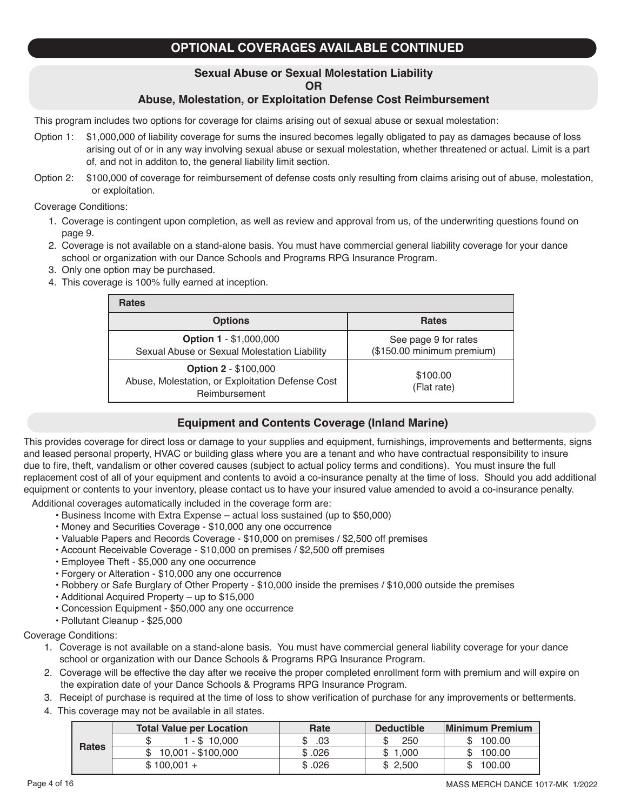# **OPTIONAL COVERAGES AVAILABLE CONTINUED**

# **Sexual Abuse or Sexual Molestation Liability**

## **OR**

## **Abuse, Molestation, or Exploitation Defense Cost Reimbursement**

This program includes two options for coverage for claims arising out of sexual abuse or sexual molestation:

- Option 1: \$1,000,000 of liability coverage for sums the insured becomes legally obligated to pay as damages because of loss arising out of or in any way involving sexual abuse or sexual molestation, whether threatened or actual. Limit is a part of, and not in additon to, the general liability limit section.
- Option 2: \$100,000 of coverage for reimbursement of defense costs only resulting from claims arising out of abuse, molestation, or exploitation.

Coverage Conditions:

- 1. Coverage is contingent upon completion, as well as review and approval from us, of the underwriting questions found on page 9.
- 2. Coverage is not available on a stand-alone basis. You must have commercial general liability coverage for your dance school or organization with our Dance Schools and Programs RPG Insurance Program.
- 3. Only one option may be purchased.
- 4. This coverage is 100% fully earned at inception.

| <b>Rates</b>                                                                                     |                                                    |
|--------------------------------------------------------------------------------------------------|----------------------------------------------------|
| <b>Options</b>                                                                                   | <b>Rates</b>                                       |
| <b>Option 1 - \$1,000,000</b><br>Sexual Abuse or Sexual Molestation Liability                    | See page 9 for rates<br>(\$150.00 minimum premium) |
| <b>Option 2 - \$100,000</b><br>Abuse, Molestation, or Exploitation Defense Cost<br>Reimbursement | \$100.00<br>(Flat rate)                            |

### **Equipment and Contents Coverage (Inland Marine)**

This provides coverage for direct loss or damage to your supplies and equipment, furnishings, improvements and betterments, signs and leased personal property, HVAC or building glass where you are a tenant and who have contractual responsibility to insure due to fire, theft, vandalism or other covered causes (subject to actual policy terms and conditions). You must insure the full replacement cost of all of your equipment and contents to avoid a co-insurance penalty at the time of loss. Should you add additional equipment or contents to your inventory, please contact us to have your insured value amended to avoid a co-insurance penalty.

Additional coverages automatically included in the coverage form are:

- Business Income with Extra Expense actual loss sustained (up to \$50,000)
- Money and Securities Coverage \$10,000 any one occurrence
- Valuable Papers and Records Coverage \$10,000 on premises / \$2,500 off premises
- Account Receivable Coverage \$10,000 on premises / \$2,500 off premises
- Employee Theft \$5,000 any one occurrence
- Forgery or Alteration \$10,000 any one occurrence
- Robbery or Safe Burglary of Other Property \$10,000 inside the premises / \$10,000 outside the premises
- Additional Acquired Property up to \$15,000
- Concession Equipment \$50,000 any one occurrence
- Pollutant Cleanup \$25,000

Coverage Conditions:

- 1. Coverage is not available on a stand-alone basis. You must have commercial general liability coverage for your dance school or organization with our Dance Schools & Programs RPG Insurance Program.
- 2. Coverage will be effective the day after we receive the proper completed enrollment form with premium and will expire on the expiration date of your Dance Schools & Programs RPG Insurance Program.
- 3. Receipt of purchase is required at the time of loss to show verification of purchase for any improvements or betterments.
- 4. This coverage may not be available in all states.

|              | <b>Total Value per Location</b> | Rate   | <b>Deductible</b> | <b>Minimum Premium</b> |
|--------------|---------------------------------|--------|-------------------|------------------------|
|              | 1 - \$ 10.000                   | .03    | 250               | 100.00                 |
| <b>Rates</b> | 10,001 - \$100,000              | \$.026 | 1.000             | 100.00                 |
|              | $$100,001 +$                    | \$.026 | \$2,500           | 100.00                 |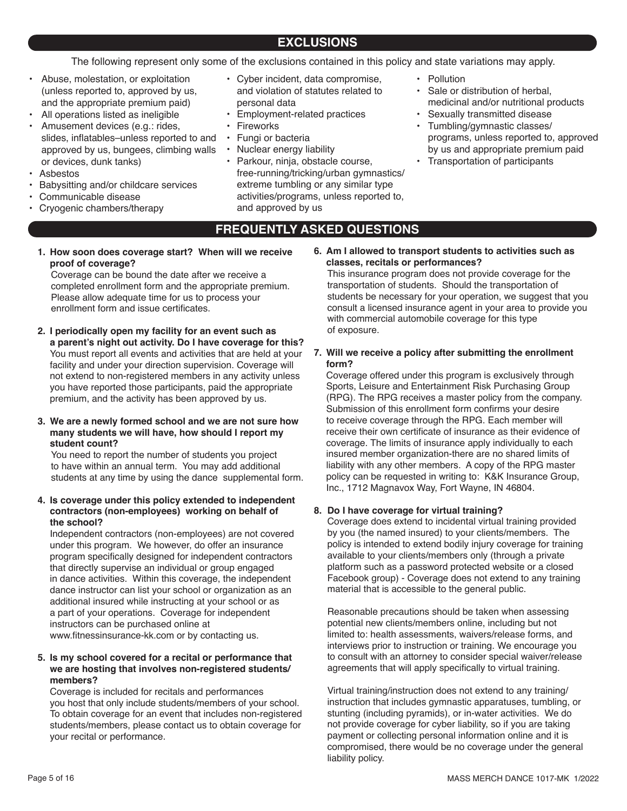The following represent only some of the exclusions contained in this policy and state variations may apply.

- Abuse, molestation, or exploitation (unless reported to, approved by us, and the appropriate premium paid)
- All operations listed as ineligible
- Amusement devices (e.g.: rides, slides, inflatables–unless reported to and approved by us, bungees, climbing walls or devices, dunk tanks)
- Asbestos
- Babysitting and/or childcare services
- Communicable disease
- Cryogenic chambers/therapy
- Cyber incident, data compromise, and violation of statutes related to personal data
- Employment-related practices
- Fireworks
- Fungi or bacteria
- Nuclear energy liability
- Parkour, ninja, obstacle course, free-running/tricking/urban gymnastics/ extreme tumbling or any similar type activities/programs, unless reported to, and approved by us
- Pollution
	- Sale or distribution of herbal, medicinal and/or nutritional products
- Sexually transmitted disease
- Tumbling/gymnastic classes/ programs, unless reported to, approved by us and appropriate premium paid
- Transportation of participants

## **FREQUENTLY ASKED QUESTIONS**

**1. How soon does coverage start? When will we receive proof of coverage?**

Coverage can be bound the date after we receive a completed enrollment form and the appropriate premium. Please allow adequate time for us to process your enrollment form and issue certificates.

**2. I periodically open my facility for an event such as a parent's night out activity. Do I have coverage for this?** You must report all events and activities that are held at your facility and under your direction supervision. Coverage will not extend to non-registered members in any activity unless you have reported those participants, paid the appropriate premium, and the activity has been approved by us.

#### **3. We are a newly formed school and we are not sure how many students we will have, how should I report my student count?**

You need to report the number of students you project to have within an annual term. You may add additional students at any time by using the dance supplemental form.

#### **4. Is coverage under this policy extended to independent contractors (non-employees) working on behalf of the school?**

Independent contractors (non-employees) are not covered under this program. We however, do offer an insurance program specifically designed for independent contractors that directly supervise an individual or group engaged in dance activities. Within this coverage, the independent dance instructor can list your school or organization as an additional insured while instructing at your school or as a part of your operations. Coverage for independent instructors can be purchased online at www.fitnessinsurance-kk.com or by contacting us.

#### **5. Is my school covered for a recital or performance that we are hosting that involves non-registered students/ members?**

Coverage is included for recitals and performances you host that only include students/members of your school. To obtain coverage for an event that includes non-registered students/members, please contact us to obtain coverage for your recital or performance.

**6. Am I allowed to transport students to activities such as classes, recitals or performances?**

This insurance program does not provide coverage for the transportation of students. Should the transportation of students be necessary for your operation, we suggest that you consult a licensed insurance agent in your area to provide you with commercial automobile coverage for this type of exposure.

**7. Will we receive a policy after submitting the enrollment form?**

Coverage offered under this program is exclusively through Sports, Leisure and Entertainment Risk Purchasing Group (RPG). The RPG receives a master policy from the company. Submission of this enrollment form confirms your desire to receive coverage through the RPG. Each member will receive their own certificate of insurance as their evidence of coverage. The limits of insurance apply individually to each insured member organization-there are no shared limits of liability with any other members. A copy of the RPG master policy can be requested in writing to: K&K Insurance Group, Inc., 1712 Magnavox Way, Fort Wayne, IN 46804.

#### **8. Do I have coverage for virtual training?**

Coverage does extend to incidental virtual training provided by you (the named insured) to your clients/members. The policy is intended to extend bodily injury coverage for training available to your clients/members only (through a private platform such as a password protected website or a closed Facebook group) - Coverage does not extend to any training material that is accessible to the general public.

Reasonable precautions should be taken when assessing potential new clients/members online, including but not limited to: health assessments, waivers/release forms, and interviews prior to instruction or training. We encourage you to consult with an attorney to consider special waiver/release agreements that will apply specifically to virtual training.

Virtual training/instruction does not extend to any training/ instruction that includes gymnastic apparatuses, tumbling, or stunting (including pyramids), or in-water activities. We do not provide coverage for cyber liability, so if you are taking payment or collecting personal information online and it is compromised, there would be no coverage under the general liability policy.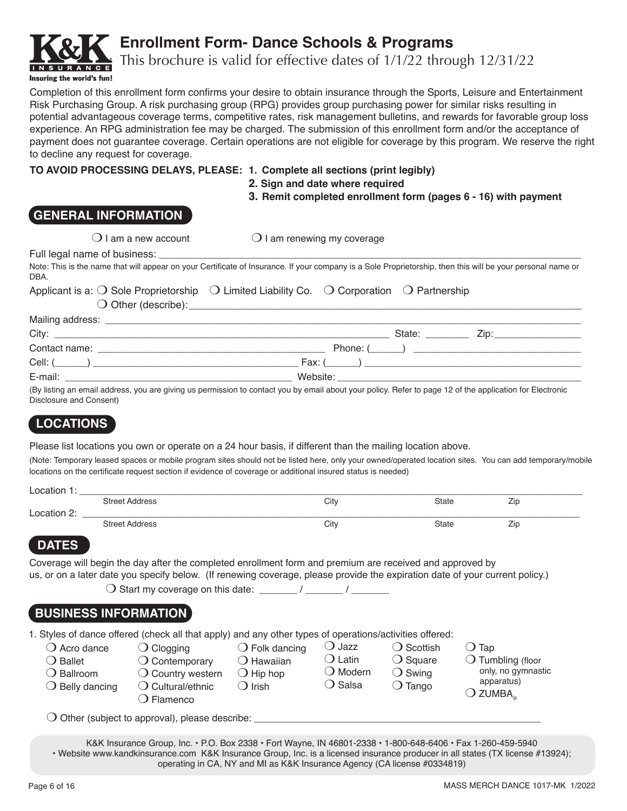

# **Enrollment Form- Dance Schools & Programs**

This brochure is valid for effective dates of 1/1/22 through 12/31/22

Completion of this enrollment form confirms your desire to obtain insurance through the Sports, Leisure and Entertainment Risk Purchasing Group. A risk purchasing group (RPG) provides group purchasing power for similar risks resulting in potential advantageous coverage terms, competitive rates, risk management bulletins, and rewards for favorable group loss experience. An RPG administration fee may be charged. The submission of this enrollment form and/or the acceptance of payment does not guarantee coverage. Certain operations are not eligible for coverage by this program. We reserve the right to decline any request for coverage.

## **TO AVOID PROCESSING DELAYS, PLEASE: 1. Complete all sections (print legibly)**

- 
- **2. Sign and date where required**
- **3. Remit completed enrollment form (pages 6 16) with payment**

# **GENERAL INFORMATION**

 $\bigcirc$  I am a new account  $\bigcirc$  I am renewing my coverage

Full legal name of business:

| <b>DBA</b> |                                                                                                                               | Note: This is the name that will appear on your Certificate of Insurance. If your company is a Sole Proprietorship, then this will be your personal name or |  |
|------------|-------------------------------------------------------------------------------------------------------------------------------|-------------------------------------------------------------------------------------------------------------------------------------------------------------|--|
|            | Applicant is a: $\bigcirc$ Sole Proprietorship $\bigcirc$ Limited Liability Co. $\bigcirc$ Corporation $\bigcirc$ Partnership |                                                                                                                                                             |  |

m Other (describe):\_\_\_\_\_\_\_\_\_\_\_\_\_\_\_\_\_\_\_\_\_\_\_\_\_\_\_\_\_\_\_\_\_\_\_\_\_\_\_\_\_\_\_\_\_\_\_\_\_\_\_\_\_\_\_\_\_\_\_\_\_\_\_\_\_\_\_\_\_

|                                                                                                                                        | State:<br>$\angle$ ip:                                                                                                                                                                                                         |  |
|----------------------------------------------------------------------------------------------------------------------------------------|--------------------------------------------------------------------------------------------------------------------------------------------------------------------------------------------------------------------------------|--|
| Contact name:<br><u> 1980 - Johann Harry Harry Harry Harry Harry Harry Harry Harry Harry Harry Harry Harry Harry Harry Harry Harry</u> |                                                                                                                                                                                                                                |  |
|                                                                                                                                        |                                                                                                                                                                                                                                |  |
| E-mail:                                                                                                                                | Website:                                                                                                                                                                                                                       |  |
|                                                                                                                                        | 78. P. P. P. S. S. S. P. March 2014. The Contract Contract Contract Contract Contract Contract Contract Contract Contract Contract Contract Contract Contract Contract Contract Contract Contract Contract Contract Contract C |  |

(By listing an email address, you are giving us permission to contact you by email about your policy. Refer to page 12 of the application for Electronic Disclosure and Consent)

# **LOCATIONS**

Please list locations you own or operate on a 24 hour basis, if different than the mailing location above.

(Note: Temporary leased spaces or mobile program sites should not be listed here, only your owned/operated location sites. You can add temporary/mobile locations on the certificate request section if evidence of coverage or additional insured status is needed)

| ∟ocation   |                       |      |       |                   |
|------------|-----------------------|------|-------|-------------------|
|            | <b>Street Address</b> | City | State | -<br>$\angle$ ic  |
| ocation 2: |                       |      |       |                   |
|            | <b>Street Address</b> | City | State | --<br>$\angle$ ic |

# **DATES**

Coverage will begin the day after the completed enrollment form and premium are received and approved by us, or on a later date you specify below. (If renewing coverage, please provide the expiration date of your current policy.)

 $\bigcirc$  Start my coverage on this date: \_\_\_\_\_\_\_ / \_\_\_\_\_\_ / \_\_\_\_\_\_\_

# **BUSINESS INFORMATION**

|  | 1. Styles of dance offered (check all that apply) and any other types of operations/activities offered: |  |
|--|---------------------------------------------------------------------------------------------------------|--|
|  |                                                                                                         |  |

| $\bigcirc$ Acro dance<br>$\bigcirc$ Clogging<br>$\bigcirc$ Ballet<br>$\bigcirc$ Contemporary<br>◯ Ballroom<br>$\bigcirc$ Country western<br>$\bigcirc$ Belly dancing<br>$\bigcirc$ Cultural/ethnic | $\bigcirc$ Folk dancing<br>$\bigcirc$ Hawaiian<br>$\bigcirc$ Hip hop<br>$\bigcirc$ Irish | .) Jazz<br>$\bigcirc$ Latin<br>$\bigcirc$ Modern<br>◯ Salsa | ◯ Scottish<br>$\bigcirc$ Square<br>$\bigcirc$ Swing<br>$\bigcirc$ Tango | $\Box$ Tap<br>$\bigcirc$ Tumbling (floor<br>only, no gymnastic<br>apparatus) |
|----------------------------------------------------------------------------------------------------------------------------------------------------------------------------------------------------|------------------------------------------------------------------------------------------|-------------------------------------------------------------|-------------------------------------------------------------------------|------------------------------------------------------------------------------|
| D Flamenco<br>$\bigcirc$ Other (subject to approval), please describe:                                                                                                                             |                                                                                          |                                                             |                                                                         | $\bigcirc$ zumba $_{\scriptscriptstyle\odot}$                                |

K&K Insurance Group, Inc. • P.O. Box 2338 • Fort Wayne, IN 46801-2338 • 1-800-648-6406 • Fax 1-260-459-5940 • Website www.kandkinsurance.com K&K Insurance Group, Inc. is a licensed insurance producer in all states (TX license #13924); operating in CA, NY and MI as K&K Insurance Agency (CA license #0334819)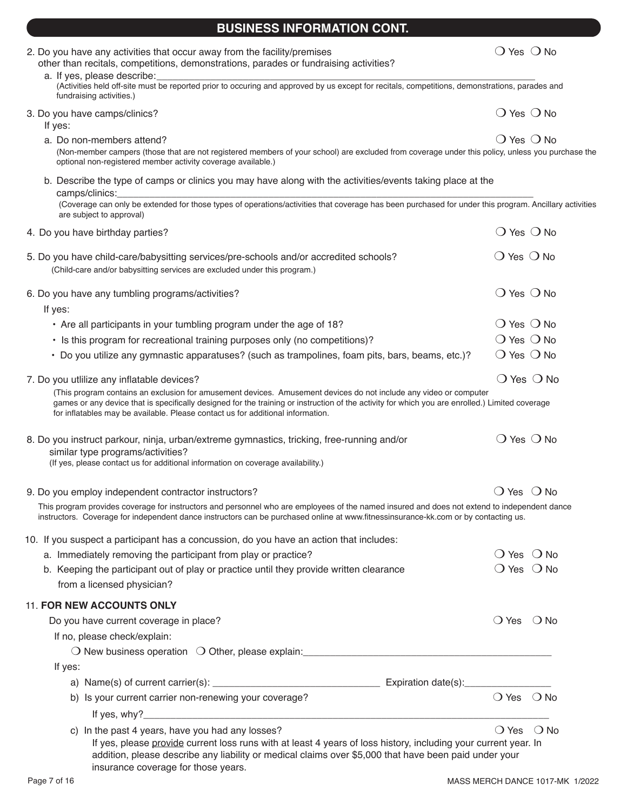| 2. Do you have any activities that occur away from the facility/premises<br>other than recitals, competitions, demonstrations, parades or fundraising activities?                                                                                                                                                                                       | $\bigcirc$ Yes $\bigcirc$ No |               |
|---------------------------------------------------------------------------------------------------------------------------------------------------------------------------------------------------------------------------------------------------------------------------------------------------------------------------------------------------------|------------------------------|---------------|
| a. If yes, please describe:                                                                                                                                                                                                                                                                                                                             |                              |               |
| (Activities held off-site must be reported prior to occuring and approved by us except for recitals, competitions, demonstrations, parades and<br>fundraising activities.)                                                                                                                                                                              |                              |               |
| 3. Do you have camps/clinics?<br>If yes:                                                                                                                                                                                                                                                                                                                | $\bigcirc$ Yes $\bigcirc$ No |               |
| a. Do non-members attend?<br>(Non-member campers (those that are not registered members of your school) are excluded from coverage under this policy, unless you purchase the<br>optional non-registered member activity coverage available.)                                                                                                           | $\bigcirc$ Yes $\bigcirc$ No |               |
| b. Describe the type of camps or clinics you may have along with the activities/events taking place at the<br>camps/clinics:<br>(Coverage can only be extended for those types of operations/activities that coverage has been purchased for under this program. Ancillary activities                                                                   |                              |               |
| are subject to approval)<br>4. Do you have birthday parties?                                                                                                                                                                                                                                                                                            | $\bigcirc$ Yes $\bigcirc$ No |               |
|                                                                                                                                                                                                                                                                                                                                                         |                              |               |
| 5. Do you have child-care/babysitting services/pre-schools and/or accredited schools?<br>(Child-care and/or babysitting services are excluded under this program.)                                                                                                                                                                                      | $\bigcirc$ Yes $\bigcirc$ No |               |
| 6. Do you have any tumbling programs/activities?<br>If yes:                                                                                                                                                                                                                                                                                             | $\bigcirc$ Yes $\bigcirc$ No |               |
| • Are all participants in your tumbling program under the age of 18?                                                                                                                                                                                                                                                                                    | $\bigcirc$ Yes $\bigcirc$ No |               |
| • Is this program for recreational training purposes only (no competitions)?                                                                                                                                                                                                                                                                            | $\bigcirc$ Yes $\bigcirc$ No |               |
| • Do you utilize any gymnastic apparatuses? (such as trampolines, foam pits, bars, beams, etc.)?                                                                                                                                                                                                                                                        | $\bigcirc$ Yes $\bigcirc$ No |               |
|                                                                                                                                                                                                                                                                                                                                                         |                              |               |
| 7. Do you utilize any inflatable devices?                                                                                                                                                                                                                                                                                                               | $\bigcirc$ Yes $\bigcirc$ No |               |
| (This program contains an exclusion for amusement devices. Amusement devices do not include any video or computer<br>games or any device that is specifically designed for the training or instruction of the activity for which you are enrolled.) Limited coverage<br>for inflatables may be available. Please contact us for additional information. |                              |               |
| 8. Do you instruct parkour, ninja, urban/extreme gymnastics, tricking, free-running and/or<br>similar type programs/activities?<br>(If yes, please contact us for additional information on coverage availability.)                                                                                                                                     | $\bigcirc$ Yes $\bigcirc$ No |               |
| 9. Do you employ independent contractor instructors?                                                                                                                                                                                                                                                                                                    | $\bigcirc$ Yes $\bigcirc$ No |               |
| This program provides coverage for instructors and personnel who are employees of the named insured and does not extend to independent dance<br>instructors. Coverage for independent dance instructors can be purchased online at www.fitnessinsurance-kk.com or by contacting us.                                                                     |                              |               |
| 10. If you suspect a participant has a concussion, do you have an action that includes:                                                                                                                                                                                                                                                                 |                              |               |
| a. Immediately removing the participant from play or practice?                                                                                                                                                                                                                                                                                          | $\bigcirc$ Yes $\bigcirc$ No |               |
| b. Keeping the participant out of play or practice until they provide written clearance<br>from a licensed physician?                                                                                                                                                                                                                                   | $\bigcirc$ Yes $\bigcirc$ No |               |
| <b>11. FOR NEW ACCOUNTS ONLY</b>                                                                                                                                                                                                                                                                                                                        |                              |               |
| Do you have current coverage in place?                                                                                                                                                                                                                                                                                                                  | $\bigcirc$ Yes               | $\bigcirc$ No |
| If no, please check/explain:                                                                                                                                                                                                                                                                                                                            |                              |               |
|                                                                                                                                                                                                                                                                                                                                                         |                              |               |
| If yes:                                                                                                                                                                                                                                                                                                                                                 |                              |               |
|                                                                                                                                                                                                                                                                                                                                                         |                              |               |
| b) Is your current carrier non-renewing your coverage?                                                                                                                                                                                                                                                                                                  | $\bigcirc$ Yes $\bigcirc$ No |               |
|                                                                                                                                                                                                                                                                                                                                                         |                              |               |

**BUSINESS INFORMATION CONT.**

If yes, please provide current loss runs with at least 4 years of loss history, including your current year. In addition, please describe any liability or medical claims over \$5,000 that have been paid under your insurance coverage for those years.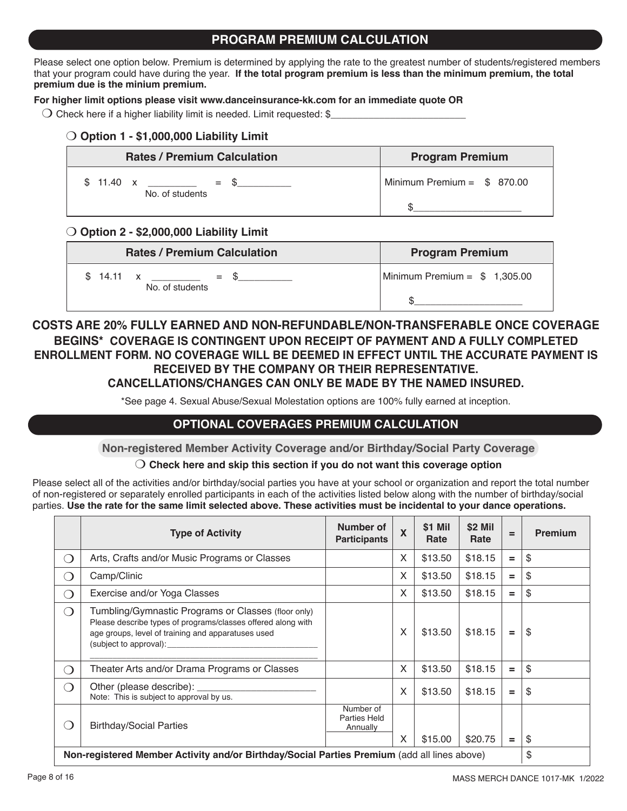## **PROGRAM PREMIUM CALCULATION**

Please select one option below. Premium is determined by applying the rate to the greatest number of students/registered members that your program could have during the year. **If the total program premium is less than the minimum premium, the total premium due is the minium premium.** 

#### **For higher limit options please visit www.danceinsurance-kk.com for an immediate quote OR**

 $\bigcirc$  Check here if a higher liability limit is needed. Limit requested: \$

## O Option 1 - \$1,000,000 Liability Limit

| <b>Rates / Premium Calculation</b>        | <b>Program Premium</b>      |
|-------------------------------------------|-----------------------------|
| $$11.40 \times$<br>$=$<br>No. of students | Minimum Premium = $$870.00$ |
|                                           |                             |

## m **Option 2 - \$2,000,000 Liability Limit**

| <b>Rates / Premium Calculation</b>         | <b>Program Premium</b>        |
|--------------------------------------------|-------------------------------|
| 14.11 $\times$<br>$=$ S<br>No. of students | Minimum Premium = $$1,305.00$ |
|                                            |                               |

## **COSTS ARE 20% FULLY EARNED AND NON-REFUNDABLE/NON-TRANSFERABLE ONCE COVERAGE BEGINS\* COVERAGE IS CONTINGENT UPON RECEIPT OF PAYMENT AND A FULLY COMPLETED ENROLLMENT FORM. NO COVERAGE WILL BE DEEMED IN EFFECT UNTIL THE ACCURATE PAYMENT IS RECEIVED BY THE COMPANY OR THEIR REPRESENTATIVE. CANCELLATIONS/CHANGES CAN ONLY BE MADE BY THE NAMED INSURED.**

\*See page 4. Sexual Abuse/Sexual Molestation options are 100% fully earned at inception.

## **OPTIONAL COVERAGES PREMIUM CALCULATION**

**Non-registered Member Activity Coverage and/or Birthday/Social Party Coverage**

### m **Check here and skip this section if you do not want this coverage option**

Please select all of the activities and/or birthday/social parties you have at your school or organization and report the total number of non-registered or separately enrolled participants in each of the activities listed below along with the number of birthday/social parties. **Use the rate for the same limit selected above. These activities must be incidental to your dance operations.**

|                                                                                                   | <b>Type of Activity</b>                                                                                                                                                                             | Number of<br><b>Participants</b>             | $\boldsymbol{\mathsf{X}}$ | \$1 Mil<br>Rate | \$2 Mil<br>Rate | $=$ | <b>Premium</b> |
|---------------------------------------------------------------------------------------------------|-----------------------------------------------------------------------------------------------------------------------------------------------------------------------------------------------------|----------------------------------------------|---------------------------|-----------------|-----------------|-----|----------------|
| ∩                                                                                                 | Arts, Crafts and/or Music Programs or Classes                                                                                                                                                       |                                              | $\mathsf{x}$              | \$13.50         | \$18.15         | $=$ | \$             |
| ∩                                                                                                 | Camp/Clinic                                                                                                                                                                                         |                                              | X                         | \$13.50         | \$18.15         | $=$ | \$             |
| ∩                                                                                                 | Exercise and/or Yoga Classes                                                                                                                                                                        |                                              | X                         | \$13.50         | \$18.15         | $=$ | \$             |
| ◯                                                                                                 | Tumbling/Gymnastic Programs or Classes (floor only)<br>Please describe types of programs/classes offered along with<br>age groups, level of training and apparatuses used<br>(subject to approval): |                                              | X                         | \$13.50         | \$18.15         | $=$ | \$             |
| ∩                                                                                                 | Theater Arts and/or Drama Programs or Classes                                                                                                                                                       |                                              | X                         | \$13.50         | \$18.15         | $=$ | \$             |
| $\bigcirc$                                                                                        | Other (please describe):<br>Note: This is subject to approval by us.                                                                                                                                |                                              | X                         | \$13.50         | \$18.15         | $=$ | \$             |
| ◯                                                                                                 | <b>Birthday/Social Parties</b>                                                                                                                                                                      | Number of<br><b>Parties Held</b><br>Annually | X                         | \$15.00         | \$20.75         | $=$ | \$             |
| \$<br>Non-registered Member Activity and/or Birthday/Social Parties Premium (add all lines above) |                                                                                                                                                                                                     |                                              |                           |                 |                 |     |                |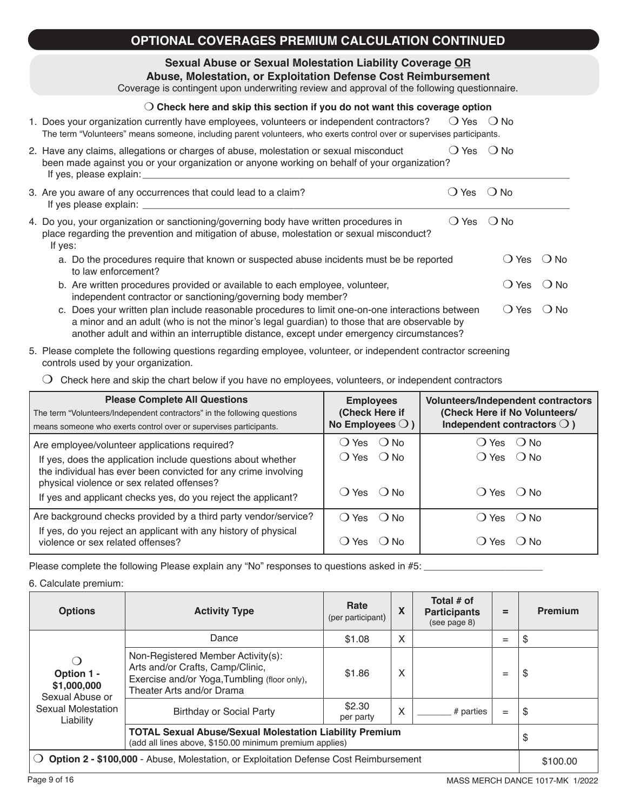## **OPTIONAL COVERAGES PREMIUM CALCULATION CONTINUED**

**Sexual Abuse or Sexual Molestation Liability Coverage OR**

Coverage is contingent upon underwriting review and approval of the following questionnaire.

## m **Check here and skip this section if you do not want this coverage option**

| 1. Does your organization currently have employees, volunteers or independent contractors?                            | ○ Yes ○ No |  |
|-----------------------------------------------------------------------------------------------------------------------|------------|--|
| The term "Volunteers" means someone, including parent volunteers, who exerts control over or supervises participants. |            |  |

| 2. Have any claims, allegations or charges of abuse, molestation or sexual misconduct        | $O$ Yes $O$ No |  |
|----------------------------------------------------------------------------------------------|----------------|--|
| been made against you or your organization or anyone working on behalf of your organization? |                |  |
| If yes, please explain:                                                                      |                |  |

| 3. Are you aware of any occurrences that could lead to a claim?<br>◯ Yes l<br>If yes please explain:                                                                                             | $()$ No          |      |
|--------------------------------------------------------------------------------------------------------------------------------------------------------------------------------------------------|------------------|------|
| 4. Do you, your organization or sanctioning/governing body have written procedures in<br>place regarding the prevention and mitigation of abuse, molestation or sexual misconduct?<br>If yes:    | () Yes () No     |      |
| a. Do the procedures require that known or suspected abuse incidents must be be reported<br>to law enforcement?                                                                                  | () Yes () No     |      |
| b. Are written procedures provided or available to each employee, volunteer,<br>independent contractor or sanctioning/governing body member?                                                     | $() Yes$ $() No$ |      |
| c. Does your written plan include reasonable procedures to limit one-on-one interactions between<br>a minor and an adult (who is not the minor's legal guardian) to those that are observable by | ◯ Yes            | ∩ No |

| another adult and within an interruptible distance, except under emergency circumstances?                     |
|---------------------------------------------------------------------------------------------------------------|
| 5. Please complete the following questions regarding employee, volunteer, or independent contractor screening |

controls used by your organization.

 $\bigcirc$  Check here and skip the chart below if you have no employees, volunteers, or independent contractors

| <b>Please Complete All Questions</b><br>The term "Volunteers/Independent contractors" in the following questions<br>means someone who exerts control over or supervises participants.                                                                                                          | <b>Volunteers/Independent contractors</b><br><b>Employees</b><br>(Check Here if<br>(Check Here if No Volunteers/<br>No Employees $\bigcirc$ )<br>Independent contractors $\bigcirc$ ) |                                                      |  |
|------------------------------------------------------------------------------------------------------------------------------------------------------------------------------------------------------------------------------------------------------------------------------------------------|---------------------------------------------------------------------------------------------------------------------------------------------------------------------------------------|------------------------------------------------------|--|
| Are employee/volunteer applications required?<br>If yes, does the application include questions about whether<br>the individual has ever been convicted for any crime involving<br>physical violence or sex related offenses?<br>If yes and applicant checks yes, do you reject the applicant? | () Yes () No<br>$O$ Yes $O$ No<br>$O$ Yes $O$ No                                                                                                                                      | ( ) Yes ( ) No<br>$O Yes$ $O No$<br>$() Yes$ $() No$ |  |
| Are background checks provided by a third party vendor/service?<br>If yes, do you reject an applicant with any history of physical<br>violence or sex related offenses?                                                                                                                        | $O$ Yes $O$ No<br>Yes<br>( ) N∩                                                                                                                                                       | () Yes () No                                         |  |

Please complete the following Please explain any "No" responses to questions asked in #5: \_\_\_\_\_\_\_\_\_\_\_\_\_\_\_\_\_\_\_\_

#### 6. Calculate premium:

| <b>Options</b>                                                                               | <b>Activity Type</b>                                                                                                                                | Rate<br>(per participant) | X | Total # of<br><b>Participants</b><br>(see page 8) | $=$ | <b>Premium</b> |
|----------------------------------------------------------------------------------------------|-----------------------------------------------------------------------------------------------------------------------------------------------------|---------------------------|---|---------------------------------------------------|-----|----------------|
|                                                                                              | Dance                                                                                                                                               | \$1.08                    | X |                                                   | $=$ | \$             |
| ◯<br>Option 1 -<br>\$1,000,000<br>Sexual Abuse or                                            | Non-Registered Member Activity(s):<br>Arts and/or Crafts, Camp/Clinic,<br>Exercise and/or Yoga, Tumbling (floor only),<br>Theater Arts and/or Drama | \$1.86                    | X |                                                   | $=$ | \$             |
| Sexual Molestation<br>Liability                                                              | <b>Birthday or Social Party</b>                                                                                                                     | \$2.30<br>per party       | X | # parties                                         | $=$ | \$             |
|                                                                                              | <b>TOTAL Sexual Abuse/Sexual Molestation Liability Premium</b><br>(add all lines above, \$150.00 minimum premium applies)                           |                           |   |                                                   | \$  |                |
| <b>Option 2 - \$100,000 - Abuse, Molestation, or Exploitation Defense Cost Reimbursement</b> |                                                                                                                                                     |                           |   | \$100.00                                          |     |                |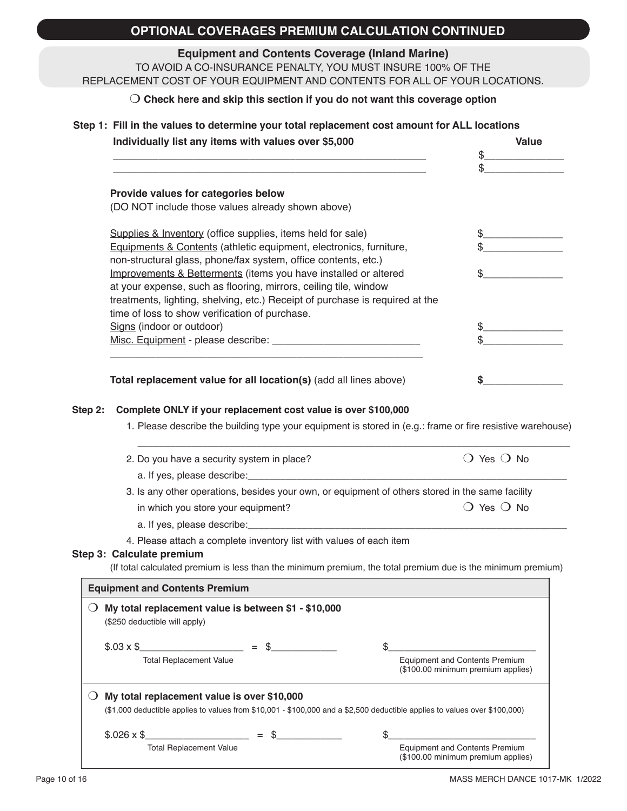# **OPTIONAL COVERAGES PREMIUM CALCULATION CONTINUED**

# **Equipment and Contents Coverage (Inland Marine)**

TO AVOID A CO-INSURANCE PENALTY, YOU MUST INSURE 100% OF THE REPLACEMENT COST OF YOUR EQUIPMENT AND CONTENTS FOR ALL OF YOUR LOCATIONS.

### m **Check here and skip this section if you do not want this coverage option**

#### **Step 1: Fill in the values to determine your total replacement cost amount for ALL locations**

|                               | Individually list any items with values over \$5,000                                                                                 | <b>Value</b>                                                                                                               |
|-------------------------------|--------------------------------------------------------------------------------------------------------------------------------------|----------------------------------------------------------------------------------------------------------------------------|
|                               |                                                                                                                                      | $\frac{1}{2}$                                                                                                              |
|                               |                                                                                                                                      |                                                                                                                            |
|                               | Provide values for categories below                                                                                                  |                                                                                                                            |
|                               | (DO NOT include those values already shown above)                                                                                    |                                                                                                                            |
|                               |                                                                                                                                      |                                                                                                                            |
|                               | Supplies & Inventory (office supplies, items held for sale)                                                                          |                                                                                                                            |
|                               | Equipments & Contents (athletic equipment, electronics, furniture,<br>non-structural glass, phone/fax system, office contents, etc.) |                                                                                                                            |
|                               | Improvements & Betterments (items you have installed or altered                                                                      |                                                                                                                            |
|                               | at your expense, such as flooring, mirrors, ceiling tile, window                                                                     |                                                                                                                            |
|                               | treatments, lighting, shelving, etc.) Receipt of purchase is required at the                                                         |                                                                                                                            |
|                               | time of loss to show verification of purchase.                                                                                       |                                                                                                                            |
|                               | Signs (indoor or outdoor)                                                                                                            |                                                                                                                            |
|                               |                                                                                                                                      |                                                                                                                            |
|                               |                                                                                                                                      |                                                                                                                            |
|                               |                                                                                                                                      |                                                                                                                            |
|                               | Total replacement value for all location(s) (add all lines above)                                                                    | S                                                                                                                          |
|                               | 2. Do you have a security system in place?                                                                                           | $\bigcirc$ Yes $\bigcirc$ No                                                                                               |
|                               |                                                                                                                                      |                                                                                                                            |
|                               |                                                                                                                                      |                                                                                                                            |
|                               |                                                                                                                                      | 3. Is any other operations, besides your own, or equipment of others stored in the same facility                           |
|                               | in which you store your equipment?                                                                                                   | $\bigcirc$ Yes $\bigcirc$ No                                                                                               |
|                               |                                                                                                                                      |                                                                                                                            |
|                               | 4. Please attach a complete inventory list with values of each item                                                                  |                                                                                                                            |
| Step 3: Calculate premium     |                                                                                                                                      |                                                                                                                            |
|                               |                                                                                                                                      | (If total calculated premium is less than the minimum premium, the total premium due is the minimum premium)               |
|                               | <b>Equipment and Contents Premium</b>                                                                                                |                                                                                                                            |
|                               | My total replacement value is between \$1 - \$10,000                                                                                 |                                                                                                                            |
| (\$250 deductible will apply) |                                                                                                                                      |                                                                                                                            |
|                               |                                                                                                                                      |                                                                                                                            |
| $$.03 \times$ \$              |                                                                                                                                      | \$.                                                                                                                        |
|                               | <b>Total Replacement Value</b>                                                                                                       | <b>Equipment and Contents Premium</b><br>(\$100.00 minimum premium applies)                                                |
|                               |                                                                                                                                      |                                                                                                                            |
| $\cup$                        | My total replacement value is over \$10,000                                                                                          | (\$1,000 deductible applies to values from \$10,001 - \$100,000 and a \$2,500 deductible applies to values over \$100,000) |
| $$.026 \times$ \$             |                                                                                                                                      |                                                                                                                            |
|                               |                                                                                                                                      |                                                                                                                            |
|                               | \$<br>$=$<br><b>Total Replacement Value</b>                                                                                          | \$<br><b>Equipment and Contents Premium</b>                                                                                |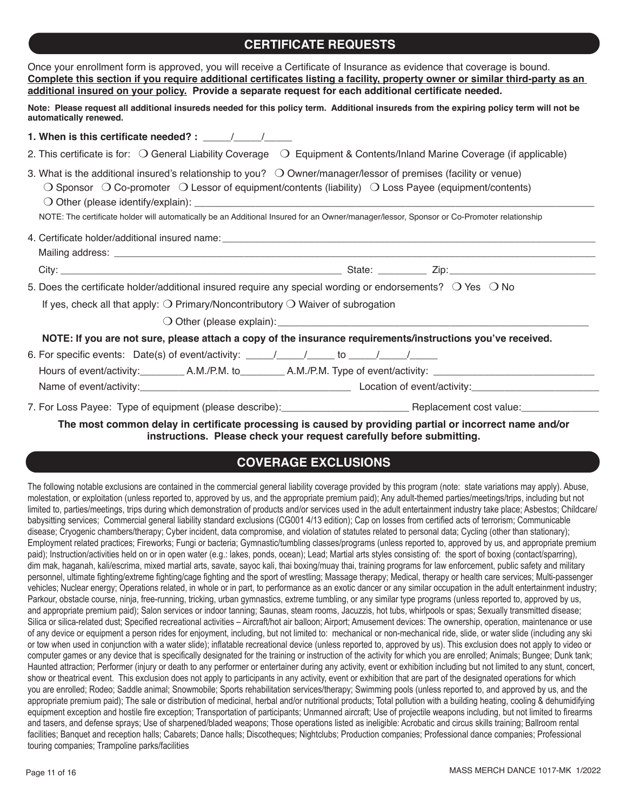# **CERTIFICATE REQUESTS**

| Once your enrollment form is approved, you will receive a Certificate of Insurance as evidence that coverage is bound.<br>Complete this section if you require additional certificates listing a facility, property owner or similar third-party as an<br>additional insured on your policy. Provide a separate request for each additional certificate needed.                                                   |  |
|-------------------------------------------------------------------------------------------------------------------------------------------------------------------------------------------------------------------------------------------------------------------------------------------------------------------------------------------------------------------------------------------------------------------|--|
| Note: Please request all additional insureds needed for this policy term. Additional insureds from the expiring policy term will not be<br>automatically renewed.                                                                                                                                                                                                                                                 |  |
| 1. When is this certificate needed? : $\frac{1}{\sqrt{1-\frac{1}{2}}}\frac{1}{\sqrt{1-\frac{1}{2}}}}$                                                                                                                                                                                                                                                                                                             |  |
| 2. This certificate is for: $\bigcirc$ General Liability Coverage $\bigcirc$ Equipment & Contents/Inland Marine Coverage (if applicable)                                                                                                                                                                                                                                                                          |  |
| 3. What is the additional insured's relationship to you? $\bigcirc$ Owner/manager/lessor of premises (facility or venue)<br>$\bigcirc$ Sponsor $\bigcirc$ Co-promoter $\bigcirc$ Lessor of equipment/contents (liability) $\bigcirc$ Loss Payee (equipment/contents)<br>NOTE: The certificate holder will automatically be an Additional Insured for an Owner/manager/lessor, Sponsor or Co-Promoter relationship |  |
|                                                                                                                                                                                                                                                                                                                                                                                                                   |  |
|                                                                                                                                                                                                                                                                                                                                                                                                                   |  |
| 5. Does the certificate holder/additional insured require any special wording or endorsements? $\bigcirc$ Yes $\bigcirc$ No<br>If yes, check all that apply: $\bigcirc$ Primary/Noncontributory $\bigcirc$ Waiver of subrogation                                                                                                                                                                                  |  |
| NOTE: If you are not sure, please attach a copy of the insurance requirements/instructions you've received.                                                                                                                                                                                                                                                                                                       |  |
|                                                                                                                                                                                                                                                                                                                                                                                                                   |  |
|                                                                                                                                                                                                                                                                                                                                                                                                                   |  |

**The most common delay in certificate processing is caused by providing partial or incorrect name and/or instructions. Please check your request carefully before submitting.**

## **COVERAGE EXCLUSIONS**

The following notable exclusions are contained in the commercial general liability coverage provided by this program (note: state variations may apply). Abuse, molestation, or exploitation (unless reported to, approved by us, and the appropriate premium paid); Any adult-themed parties/meetings/trips, including but not limited to, parties/meetings, trips during which demonstration of products and/or services used in the adult entertainment industry take place; Asbestos; Childcare/ babysitting services; Commercial general liability standard exclusions (CG001 4/13 edition); Cap on losses from certified acts of terrorism; Communicable disease; Cryogenic chambers/therapy; Cyber incident, data compromise, and violation of statutes related to personal data; Cycling (other than stationary); Employment related practices; Fireworks; Fungi or bacteria; Gymnastic/tumbling classes/programs (unless reported to, approved by us, and appropriate premium paid); Instruction/activities held on or in open water (e.g.: lakes, ponds, ocean); Lead; Martial arts styles consisting of: the sport of boxing (contact/sparring), dim mak, haganah, kali/escrima, mixed martial arts, savate, sayoc kali, thai boxing/muay thai, training programs for law enforcement, public safety and military personnel, ultimate fighting/extreme fighting/cage fighting and the sport of wrestling; Massage therapy; Medical, therapy or health care services; Multi-passenger vehicles; Nuclear energy; Operations related, in whole or in part, to performance as an exotic dancer or any similar occupation in the adult entertainment industry; Parkour, obstacle course, ninja, free-running, tricking, urban gymnastics, extreme tumbling, or any similar type programs (unless reported to, approved by us, and appropriate premium paid); Salon services or indoor tanning; Saunas, steam rooms, Jacuzzis, hot tubs, whirlpools or spas; Sexually transmitted disease; Silica or silica-related dust; Specified recreational activities – Aircraft/hot air balloon; Airport; Amusement devices: The ownership, operation, maintenance or use of any device or equipment a person rides for enjoyment, including, but not limited to: mechanical or non-mechanical ride, slide, or water slide (including any ski or tow when used in conjunction with a water slide); inflatable recreational device (unless reported to, approved by us). This exclusion does not apply to video or computer games or any device that is specifically designated for the training or instruction of the activity for which you are enrolled; Animals; Bungee; Dunk tank; Haunted attraction; Performer (injury or death to any performer or entertainer during any activity, event or exhibition including but not limited to any stunt, concert, show or theatrical event. This exclusion does not apply to participants in any activity, event or exhibition that are part of the designated operations for which you are enrolled; Rodeo; Saddle animal; Snowmobile; Sports rehabilitation services/therapy; Swimming pools (unless reported to, and approved by us, and the appropriate premium paid); The sale or distribution of medicinal, herbal and/or nutritional products; Total pollution with a building heating, cooling & dehumidifying equipment exception and hostile fire exception; Transportation of participants; Unmanned aircraft; Use of projectile weapons including, but not limited to firearms and tasers, and defense sprays; Use of sharpened/bladed weapons; Those operations listed as ineligible: Acrobatic and circus skills training; Ballroom rental facilities; Banquet and reception halls; Cabarets; Dance halls; Discotheques; Nightclubs; Production companies; Professional dance companies; Professional touring companies; Trampoline parks/facilities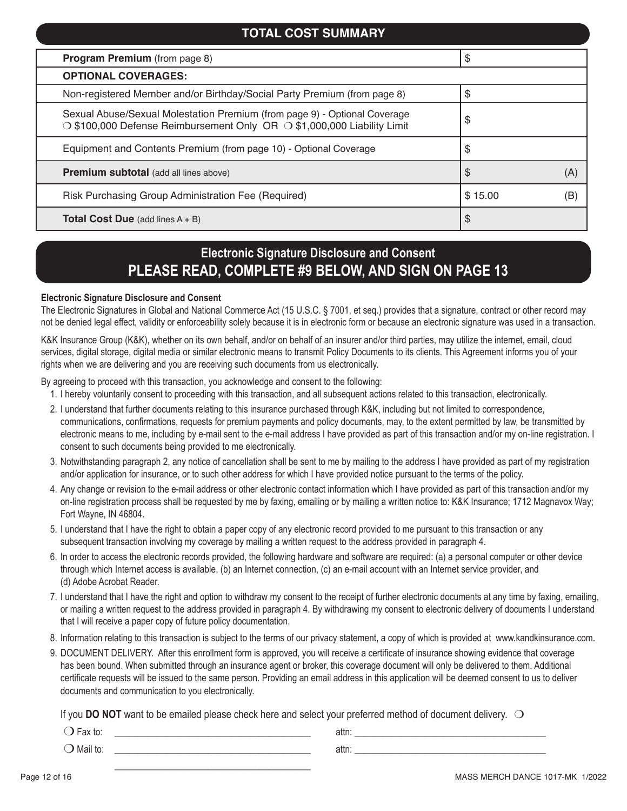| <b>TOTAL COST SUMMARY</b>                                                                                                                            |         |     |  |  |  |
|------------------------------------------------------------------------------------------------------------------------------------------------------|---------|-----|--|--|--|
| <b>Program Premium</b> (from page 8)                                                                                                                 | \$      |     |  |  |  |
| <b>OPTIONAL COVERAGES:</b>                                                                                                                           |         |     |  |  |  |
| Non-registered Member and/or Birthday/Social Party Premium (from page 8)                                                                             | \$      |     |  |  |  |
| Sexual Abuse/Sexual Molestation Premium (from page 9) - Optional Coverage<br>○ \$100,000 Defense Reimbursement Only OR ○ \$1,000,000 Liability Limit | \$      |     |  |  |  |
| Equipment and Contents Premium (from page 10) - Optional Coverage                                                                                    | \$      |     |  |  |  |
| <b>Premium subtotal</b> (add all lines above)                                                                                                        | \$      | (A) |  |  |  |
| Risk Purchasing Group Administration Fee (Required)                                                                                                  | \$15.00 | (B) |  |  |  |
| <b>Total Cost Due</b> (add lines $A + B$ )                                                                                                           | \$      |     |  |  |  |

# **Electronic Signature Disclosure and Consent PLEASE READ, COMPLETE #9 BELOW, AND SIGN ON PAGE 13**

#### **Electronic Signature Disclosure and Consent**

The Electronic Signatures in Global and National Commerce Act (15 U.S.C. § 7001, et seq.) provides that a signature, contract or other record may not be denied legal effect, validity or enforceability solely because it is in electronic form or because an electronic signature was used in a transaction.

K&K Insurance Group (K&K), whether on its own behalf, and/or on behalf of an insurer and/or third parties, may utilize the internet, email, cloud services, digital storage, digital media or similar electronic means to transmit Policy Documents to its clients. This Agreement informs you of your rights when we are delivering and you are receiving such documents from us electronically.

By agreeing to proceed with this transaction, you acknowledge and consent to the following:

 $\frac{1}{\sqrt{2}}$  ,  $\frac{1}{\sqrt{2}}$  ,  $\frac{1}{\sqrt{2}}$  ,  $\frac{1}{\sqrt{2}}$  ,  $\frac{1}{\sqrt{2}}$  ,  $\frac{1}{\sqrt{2}}$  ,  $\frac{1}{\sqrt{2}}$  ,  $\frac{1}{\sqrt{2}}$  ,  $\frac{1}{\sqrt{2}}$  ,  $\frac{1}{\sqrt{2}}$  ,  $\frac{1}{\sqrt{2}}$  ,  $\frac{1}{\sqrt{2}}$  ,  $\frac{1}{\sqrt{2}}$  ,  $\frac{1}{\sqrt{2}}$  ,  $\frac{1}{\sqrt{2}}$ 

- 1. I hereby voluntarily consent to proceeding with this transaction, and all subsequent actions related to this transaction, electronically.
- 2. I understand that further documents relating to this insurance purchased through K&K, including but not limited to correspondence, communications, confirmations, requests for premium payments and policy documents, may, to the extent permitted by law, be transmitted by electronic means to me, including by e-mail sent to the e-mail address I have provided as part of this transaction and/or my on-line registration. I consent to such documents being provided to me electronically.
- 3. Notwithstanding paragraph 2, any notice of cancellation shall be sent to me by mailing to the address I have provided as part of my registration and/or application for insurance, or to such other address for which I have provided notice pursuant to the terms of the policy.
- 4. Any change or revision to the e-mail address or other electronic contact information which I have provided as part of this transaction and/or my on-line registration process shall be requested by me by faxing, emailing or by mailing a written notice to: K&K Insurance; 1712 Magnavox Way; Fort Wayne, IN 46804.
- 5. I understand that I have the right to obtain a paper copy of any electronic record provided to me pursuant to this transaction or any subsequent transaction involving my coverage by mailing a written request to the address provided in paragraph 4.
- 6. In order to access the electronic records provided, the following hardware and software are required: (a) a personal computer or other device through which Internet access is available, (b) an Internet connection, (c) an e-mail account with an Internet service provider, and (d) Adobe Acrobat Reader.
- 7. I understand that I have the right and option to withdraw my consent to the receipt of further electronic documents at any time by faxing, emailing, or mailing a written request to the address provided in paragraph 4. By withdrawing my consent to electronic delivery of documents I understand that I will receive a paper copy of future policy documentation.
- 8. Information relating to this transaction is subject to the terms of our privacy statement, a copy of which is provided at www.kandkinsurance.com.
- 9. DOCUMENT DELIVERY. After this enrollment form is approved, you will receive a certificate of insurance showing evidence that coverage has been bound. When submitted through an insurance agent or broker, this coverage document will only be delivered to them. Additional certificate requests will be issued to the same person. Providing an email address in this application will be deemed consent to us to deliver documents and communication to you electronically.

If you **DO NOT** want to be emailed please check here and select your preferred method of document delivery.  $\bigcirc$ 

| $\sim$<br>un<br>ື | auu |  |
|-------------------|-----|--|
| Mail to:          | aur |  |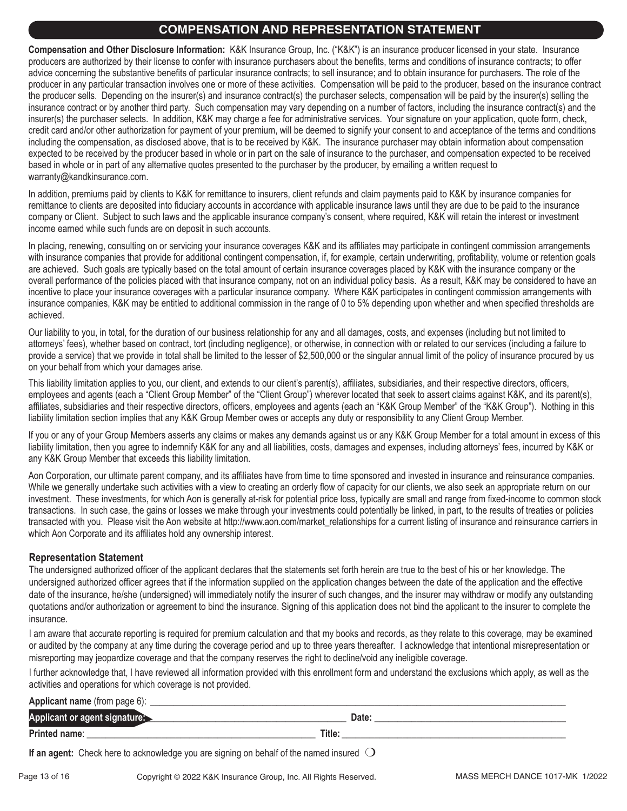## **COMPENSATION AND REPRESENTATION STATEMENT**

**Compensation and Other Disclosure Information:** K&K Insurance Group, Inc. ("K&K") is an insurance producer licensed in your state. Insurance producers are authorized by their license to confer with insurance purchasers about the benefits, terms and conditions of insurance contracts; to offer advice concerning the substantive benefits of particular insurance contracts; to sell insurance; and to obtain insurance for purchasers. The role of the producer in any particular transaction involves one or more of these activities. Compensation will be paid to the producer, based on the insurance contract the producer sells. Depending on the insurer(s) and insurance contract(s) the purchaser selects, compensation will be paid by the insurer(s) selling the insurance contract or by another third party. Such compensation may vary depending on a number of factors, including the insurance contract(s) and the insurer(s) the purchaser selects. In addition, K&K may charge a fee for administrative services. Your signature on your application, quote form, check, credit card and/or other authorization for payment of your premium, will be deemed to signify your consent to and acceptance of the terms and conditions including the compensation, as disclosed above, that is to be received by K&K. The insurance purchaser may obtain information about compensation expected to be received by the producer based in whole or in part on the sale of insurance to the purchaser, and compensation expected to be received based in whole or in part of any alternative quotes presented to the purchaser by the producer, by emailing a written request to warranty@kandkinsurance.com.

In addition, premiums paid by clients to K&K for remittance to insurers, client refunds and claim payments paid to K&K by insurance companies for remittance to clients are deposited into fiduciary accounts in accordance with applicable insurance laws until they are due to be paid to the insurance company or Client. Subject to such laws and the applicable insurance company's consent, where required, K&K will retain the interest or investment income earned while such funds are on deposit in such accounts.

In placing, renewing, consulting on or servicing your insurance coverages K&K and its affiliates may participate in contingent commission arrangements with insurance companies that provide for additional contingent compensation, if, for example, certain underwriting, profitability, volume or retention goals are achieved. Such goals are typically based on the total amount of certain insurance coverages placed by K&K with the insurance company or the overall performance of the policies placed with that insurance company, not on an individual policy basis. As a result, K&K may be considered to have an incentive to place your insurance coverages with a particular insurance company. Where K&K participates in contingent commission arrangements with insurance companies, K&K may be entitled to additional commission in the range of 0 to 5% depending upon whether and when specified thresholds are achieved.

Our liability to you, in total, for the duration of our business relationship for any and all damages, costs, and expenses (including but not limited to attorneys' fees), whether based on contract, tort (including negligence), or otherwise, in connection with or related to our services (including a failure to provide a service) that we provide in total shall be limited to the lesser of \$2,500,000 or the singular annual limit of the policy of insurance procured by us on your behalf from which your damages arise.

This liability limitation applies to you, our client, and extends to our client's parent(s), affiliates, subsidiaries, and their respective directors, officers, employees and agents (each a "Client Group Member" of the "Client Group") wherever located that seek to assert claims against K&K, and its parent(s), affiliates, subsidiaries and their respective directors, officers, employees and agents (each an "K&K Group Member" of the "K&K Group"). Nothing in this liability limitation section implies that any K&K Group Member owes or accepts any duty or responsibility to any Client Group Member.

If you or any of your Group Members asserts any claims or makes any demands against us or any K&K Group Member for a total amount in excess of this liability limitation, then you agree to indemnify K&K for any and all liabilities, costs, damages and expenses, including attorneys' fees, incurred by K&K or any K&K Group Member that exceeds this liability limitation.

Aon Corporation, our ultimate parent company, and its affiliates have from time to time sponsored and invested in insurance and reinsurance companies. While we generally undertake such activities with a view to creating an orderly flow of capacity for our clients, we also seek an appropriate return on our investment. These investments, for which Aon is generally at-risk for potential price loss, typically are small and range from fixed-income to common stock transactions. In such case, the gains or losses we make through your investments could potentially be linked, in part, to the results of treaties or policies transacted with you. Please visit the Aon website at http://www.aon.com/market relationships for a current listing of insurance and reinsurance carriers in which Aon Corporate and its affiliates hold any ownership interest.

### **Representation Statement**

The undersigned authorized officer of the applicant declares that the statements set forth herein are true to the best of his or her knowledge. The undersigned authorized officer agrees that if the information supplied on the application changes between the date of the application and the effective date of the insurance, he/she (undersigned) will immediately notify the insurer of such changes, and the insurer may withdraw or modify any outstanding quotations and/or authorization or agreement to bind the insurance. Signing of this application does not bind the applicant to the insurer to complete the insurance.

I am aware that accurate reporting is required for premium calculation and that my books and records, as they relate to this coverage, may be examined or audited by the company at any time during the coverage period and up to three years thereafter. I acknowledge that intentional misrepresentation or misreporting may jeopardize coverage and that the company reserves the right to decline/void any ineligible coverage.

I further acknowledge that, I have reviewed all information provided with this enrollment form and understand the exclusions which apply, as well as the activities and operations for which coverage is not provided.

| <b>Applicant name</b> (from page 6):      |        |
|-------------------------------------------|--------|
| Applicant or agent signature: <u>&gt;</u> | Date:  |
| Printed name:                             | Title: |

**If an agent:** Check here to acknowledge you are signing on behalf of the named insured  $\bigcirc$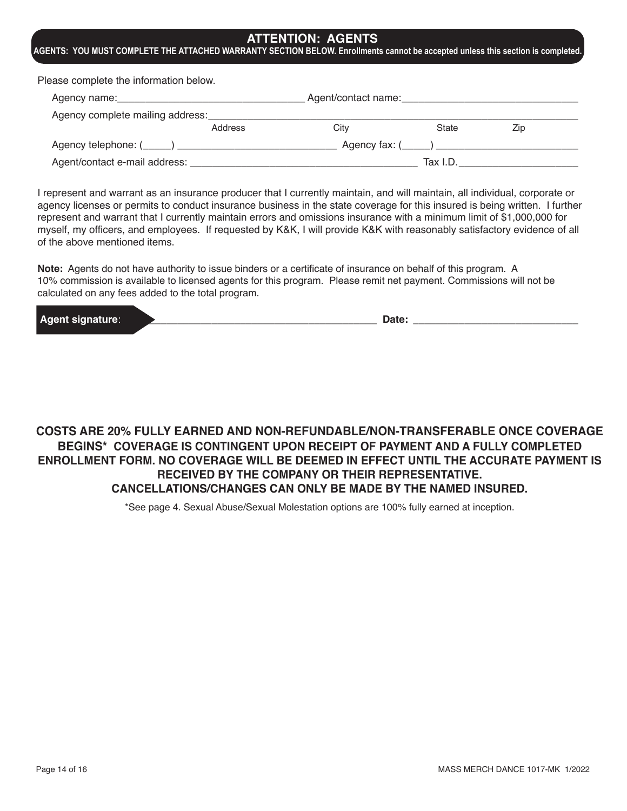## **ATTENTION: AGENTS**

**AGENTS: YOU MUST COMPLETE THE ATTACHED WARRANTY SECTION BELOW. Enrollments cannot be accepted unless this section is completed.**

Please complete the information below.

| Agency name: Agency name:        |         | Agent/contact name: |                          |     |
|----------------------------------|---------|---------------------|--------------------------|-----|
| Agency complete mailing address: |         |                     |                          |     |
|                                  | Address | Citv                | State                    | Zip |
|                                  |         |                     | Agency fax: $(\_\_\_\_)$ |     |
| Agent/contact e-mail address: _  |         |                     | Tax I.D.                 |     |

I represent and warrant as an insurance producer that I currently maintain, and will maintain, all individual, corporate or agency licenses or permits to conduct insurance business in the state coverage for this insured is being written. I further represent and warrant that I currently maintain errors and omissions insurance with a minimum limit of \$1,000,000 for myself, my officers, and employees. If requested by K&K, I will provide K&K with reasonably satisfactory evidence of all of the above mentioned items.

**Note:** Agents do not have authority to issue binders or a certificate of insurance on behalf of this program. A 10% commission is available to licensed agents for this program. Please remit net payment. Commissions will not be calculated on any fees added to the total program.

| l Ad<br>والمتواجه والمستقلقات والمتناقص | Dalc |
|-----------------------------------------|------|
|-----------------------------------------|------|

## **COSTS ARE 20% FULLY EARNED AND NON-REFUNDABLE/NON-TRANSFERABLE ONCE COVERAGE BEGINS\* COVERAGE IS CONTINGENT UPON RECEIPT OF PAYMENT AND A FULLY COMPLETED ENROLLMENT FORM. NO COVERAGE WILL BE DEEMED IN EFFECT UNTIL THE ACCURATE PAYMENT IS RECEIVED BY THE COMPANY OR THEIR REPRESENTATIVE. CANCELLATIONS/CHANGES CAN ONLY BE MADE BY THE NAMED INSURED.**

\*See page 4. Sexual Abuse/Sexual Molestation options are 100% fully earned at inception.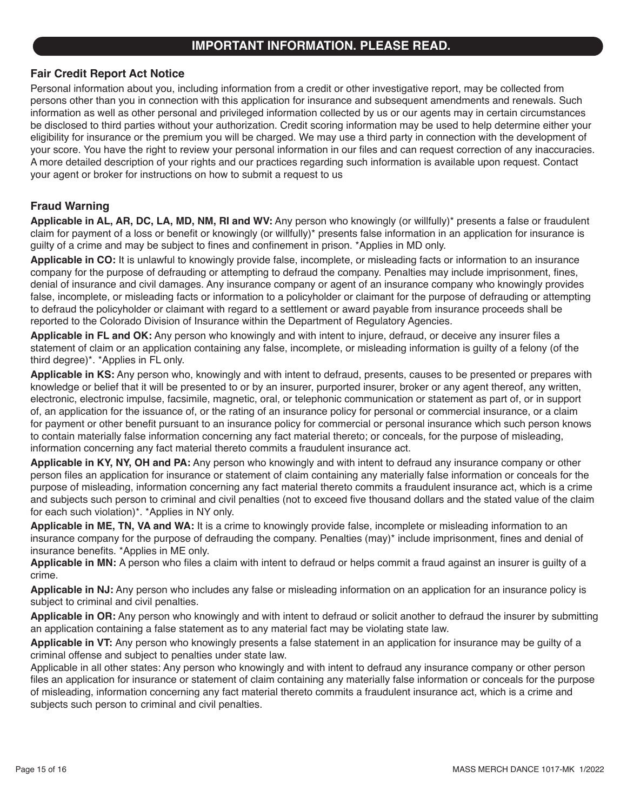## **IMPORTANT INFORMATION. PLEASE READ.**

## **Fair Credit Report Act Notice**

Personal information about you, including information from a credit or other investigative report, may be collected from persons other than you in connection with this application for insurance and subsequent amendments and renewals. Such information as well as other personal and privileged information collected by us or our agents may in certain circumstances be disclosed to third parties without your authorization. Credit scoring information may be used to help determine either your eligibility for insurance or the premium you will be charged. We may use a third party in connection with the development of your score. You have the right to review your personal information in our files and can request correction of any inaccuracies. A more detailed description of your rights and our practices regarding such information is available upon request. Contact your agent or broker for instructions on how to submit a request to us

## **Fraud Warning**

**Applicable in AL, AR, DC, LA, MD, NM, RI and WV:** Any person who knowingly (or willfully)\* presents a false or fraudulent claim for payment of a loss or benefit or knowingly (or willfully)\* presents false information in an application for insurance is guilty of a crime and may be subject to fines and confinement in prison. \*Applies in MD only.

**Applicable in CO:** It is unlawful to knowingly provide false, incomplete, or misleading facts or information to an insurance company for the purpose of defrauding or attempting to defraud the company. Penalties may include imprisonment, fines, denial of insurance and civil damages. Any insurance company or agent of an insurance company who knowingly provides false, incomplete, or misleading facts or information to a policyholder or claimant for the purpose of defrauding or attempting to defraud the policyholder or claimant with regard to a settlement or award payable from insurance proceeds shall be reported to the Colorado Division of Insurance within the Department of Regulatory Agencies.

**Applicable in FL and OK:** Any person who knowingly and with intent to injure, defraud, or deceive any insurer files a statement of claim or an application containing any false, incomplete, or misleading information is guilty of a felony (of the third degree)\*. \*Applies in FL only.

**Applicable in KS:** Any person who, knowingly and with intent to defraud, presents, causes to be presented or prepares with knowledge or belief that it will be presented to or by an insurer, purported insurer, broker or any agent thereof, any written, electronic, electronic impulse, facsimile, magnetic, oral, or telephonic communication or statement as part of, or in support of, an application for the issuance of, or the rating of an insurance policy for personal or commercial insurance, or a claim for payment or other benefit pursuant to an insurance policy for commercial or personal insurance which such person knows to contain materially false information concerning any fact material thereto; or conceals, for the purpose of misleading, information concerning any fact material thereto commits a fraudulent insurance act.

**Applicable in KY, NY, OH and PA:** Any person who knowingly and with intent to defraud any insurance company or other person files an application for insurance or statement of claim containing any materially false information or conceals for the purpose of misleading, information concerning any fact material thereto commits a fraudulent insurance act, which is a crime and subjects such person to criminal and civil penalties (not to exceed five thousand dollars and the stated value of the claim for each such violation)\*. \*Applies in NY only.

**Applicable in ME, TN, VA and WA:** It is a crime to knowingly provide false, incomplete or misleading information to an insurance company for the purpose of defrauding the company. Penalties (may)\* include imprisonment, fines and denial of insurance benefits. \*Applies in ME only.

**Applicable in MN:** A person who files a claim with intent to defraud or helps commit a fraud against an insurer is guilty of a crime.

**Applicable in NJ:** Any person who includes any false or misleading information on an application for an insurance policy is subject to criminal and civil penalties.

**Applicable in OR:** Any person who knowingly and with intent to defraud or solicit another to defraud the insurer by submitting an application containing a false statement as to any material fact may be violating state law.

**Applicable in VT:** Any person who knowingly presents a false statement in an application for insurance may be guilty of a criminal offense and subject to penalties under state law.

Applicable in all other states: Any person who knowingly and with intent to defraud any insurance company or other person files an application for insurance or statement of claim containing any materially false information or conceals for the purpose of misleading, information concerning any fact material thereto commits a fraudulent insurance act, which is a crime and subjects such person to criminal and civil penalties.